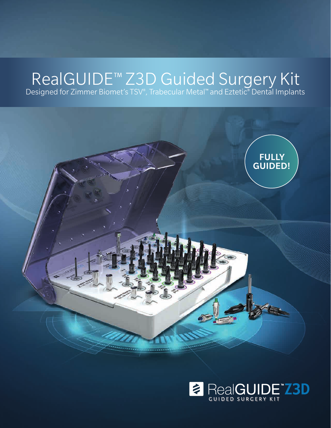## RealGUIDE™ Z3D Guided Surgery Kit Designed for Zimmer Biomet's TSV®, Trabecular Metal™ and Eztetic® Dental Implants